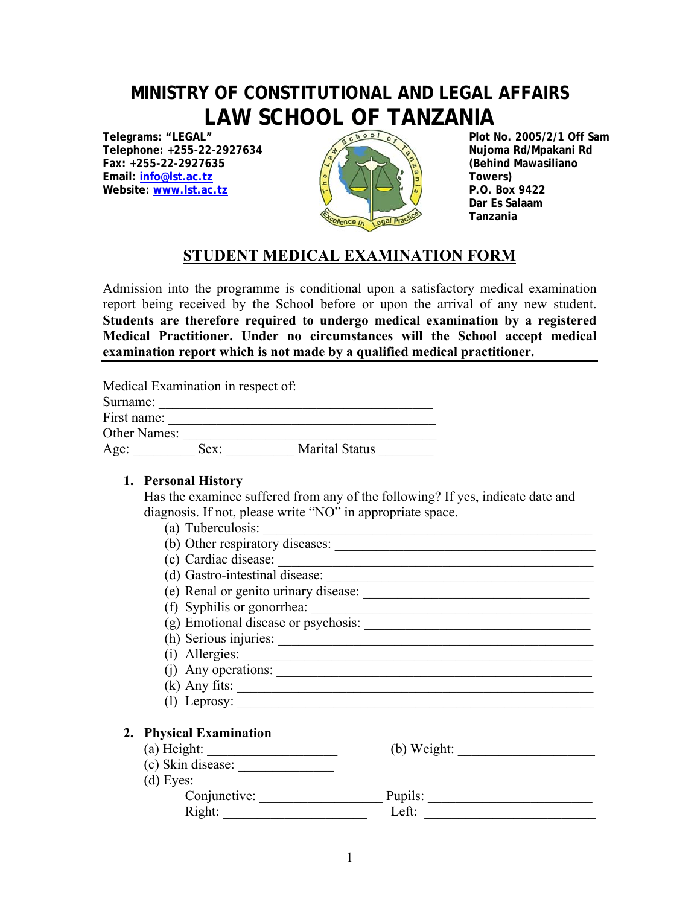# **MINISTRY OF CONSTITUTIONAL AND LEGAL AFFAIRS**  LAW SCHOOL OF TANZANIA

**Telegrams: "LEGAL" Telephone: +255-22-2927634 Fax: +255-22-2927635 Email: info@lst.ac.tz Website: www.lst.ac.tz** 



**Plot No. 2005/2/1 Off Sam Nujoma Rd/Mpakani Rd (Behind Mawasiliano Towers) P.O. Box 9422 Dar Es Salaam** 

## **STUDENT MEDICAL EXAMINATION FORM**

Admission into the programme is conditional upon a satisfactory medical examination report being received by the School before or upon the arrival of any new student. **Students are therefore required to undergo medical examination by a registered Medical Practitioner. Under no circumstances will the School accept medical examination report which is not made by a qualified medical practitioner.**

| Medical Examination in respect of: |      |                       |  |  |
|------------------------------------|------|-----------------------|--|--|
| Surname:                           |      |                       |  |  |
| First name:                        |      |                       |  |  |
| <b>Other Names:</b>                |      |                       |  |  |
| Age:                               | Sex: | <b>Marital Status</b> |  |  |

#### **1. Personal History**

Has the examinee suffered from any of the following? If yes, indicate date and diagnosis. If not, please write "NO" in appropriate space.

| Right:                                                         | Left:         |
|----------------------------------------------------------------|---------------|
| Conjunctive:                                                   | Pupils:       |
| $(d)$ Eyes:                                                    |               |
| (c) Skin disease:                                              |               |
| $(a)$ Height:<br><u> 1989 - Johann Stoff, fransk politik (</u> | $(b)$ Weight: |
| 2. Physical Examination                                        |               |
|                                                                |               |
| $(1)$ Leprosy:                                                 |               |
| $(k)$ Any fits:                                                |               |
| $(i)$ Any operations:                                          |               |
| (i) Allergies:                                                 |               |
| (h) Serious injuries:                                          |               |
| (g) Emotional disease or psychosis:                            |               |
| (f) Syphilis or gonorrhea:                                     |               |
| (e) Renal or genito urinary disease:                           |               |
| (d) Gastro-intestinal disease:                                 |               |
| (c) Cardiac disease:                                           |               |
| (b) Other respiratory diseases:                                |               |
| (a) Tuberculosis:                                              |               |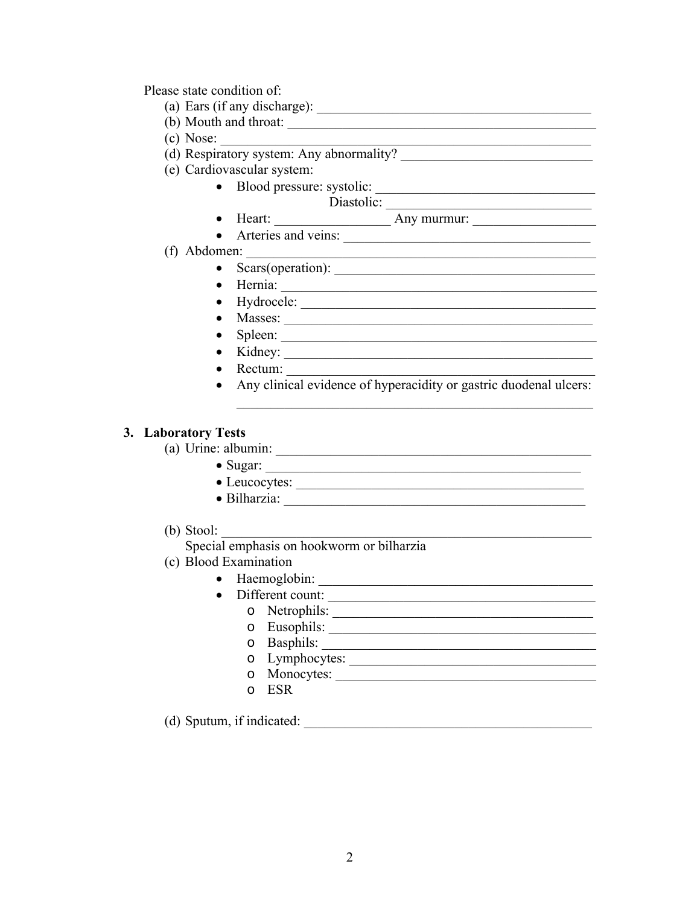Please state condition of:

- 
- 
- $(c)$  Nose:
- 
- (e) Cardiovascular system:
	- Blood pressure: systolic:
	- Diastolic: • Heart:  $\overline{\phantom{a}}$  Any murmur:  $\overline{\phantom{a}}$ 
		-
	- Arteries and veins:

#### (f) Abdomen:

- Scars(operation):  $\_\_\_\_\_\_\_\_\_$
- 
- 
- 
- 
- 
- Rectum:
- Any clinical evidence of hyperacidity or gastric duodenal ulcers:

#### 3. Laboratory Tests

- - Sugar:  $\frac{1}{2}$  Sugar:  $\frac{1}{2}$  Sugar:  $\frac{1}{2}$  Sugar:  $\frac{1}{2}$  Sugar:  $\frac{1}{2}$  Sugar:  $\frac{1}{2}$  Sugar:  $\frac{1}{2}$  Sugar:  $\frac{1}{2}$  Sugar:  $\frac{1}{2}$  Sugar:  $\frac{1}{2}$  Sugar:  $\frac{1}{2}$  Sugar:  $\frac{1}{2}$  Sugar:  $\frac{1}{2}$
	- Leucocytes:
	-
- (b) Stool:
	- Special emphasis on hookworm or bilharzia
- (c) Blood Examination
	- · Haemoglobin:
	- Different count:
		-
		-
		-
		- 0 Lymphocytes:
		- o Monocytes:
		- o ESR